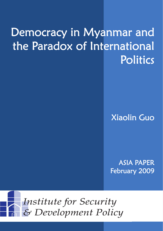# Democracy in Myanmar and the Paradox of International Politics

Xiaolin Guo

ASIA PAPER February 2009

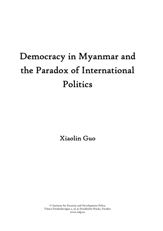# Democracy in Myanmar and the Paradox of International Politics

Xiaolin Guo

© Institute for Security and Development Policy Västra Finnbodavägen 2, 131 30 Stockholm-Nacka, Sweden www.isdp.eu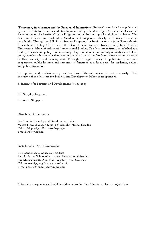"Democracy in Myanmar and the Paradox of International Politics" is an *Asia Paper* published by the Institute for Security and Development Policy. The *Asia Papers Series* is the Occasional Paper series of the Institute's Asia Program, and addresses topical and timely subjects. The Institute is based in Stockholm, Sweden, and cooperates closely with research centers worldwide. Through its Silk Road Studies Program, the Institute runs a joint Transatlantic Research and Policy Center with the Central Asia-Caucasus Institute of Johns Hopkins University's School of Advanced International Studies. The Institute is firmly established as a leading research and policy center, serving a large and diverse community of analysts, scholars, policy-watchers, business leaders, and journalists. It is at the forefront of research on issues of conflict, security, and development. Through its applied research, publications, research cooperation, public lectures, and seminars, it functions as a focal point for academic, policy, and public discussion.

The opinions and conclusions expressed are those of the author/s and do not necessarily reflect the views of the Institute for Security and Development Policy or its sponsors.

© Institute for Security and Development Policy, 2009

ISBN: 978-91-85937-54-7

Printed in Singapore

Distributed in Europe by:

Institute for Security and Development Policy Västra Finnbodavägen 2, 131 30 Stockholm-Nacka, Sweden Tel. +46-841056953; Fax. +46-86403370 Email: info@isdp.eu

Distributed in North America by:

The Central Asia-Caucasus Institute Paul H. Nitze School of Advanced International Studies 1619 Massachusetts Ave. NW, Washington, D.C. 20036 Tel. +1-202-663-7723; Fax. +1-202-663-7785 E-mail: caci2@jhuadig.admin.jhu.edu

Editorial correspondence should be addressed to Dr. Bert Edström at: bedstrom@isdp.eu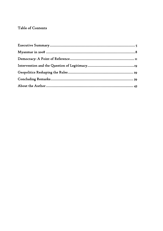## Table of Contents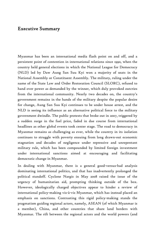#### Executive Summary

Myanmar has been an international media flash point on and off, and a persistent point of contention in international relations since 1990, when the country held general elections in which the National League for Democracy (NLD) led by Daw Aung San Suu Kyi won a majority of seats in the National Assembly or Constituent Assembly. The military, ruling under the name of the State Law and Order Restoration Council (SLORC), refused to hand over power as demanded by the winner, which duly provoked outcries from the international community. Nearly two decades on, the country's government remains in the hands of the military despite the popular desire for change, Aung San Suu Kyi continues to be under house arrest, and the NLD is seeing its influence as an alternative political force to the military government dwindle. The public protests that broke out in 2007, triggered by a sudden surge in the fuel price, faded in due course from international headlines as other global events took center stage. The road to democracy in Myanmar remains as challenging as ever, while the country in its isolation continues to struggle with poverty ensuing from long drawn-out economic stagnation and decades of negligence under repressive and unrepentant military rule, which has been compounded by limited foreign investment under international sanctions aimed at encouraging and facilitating democratic change in Myanmar.

In dealing with Myanmar, there is a general good-versus-bad analysis dominating international politics, and that has inadvertently prolonged the political standoff. Cyclone Nargis in May 2008 raised the issue of the urgency of humanitarian aid, prompting thinking outside of the box. However, ideologically charged objectives appear to hinder a review of international policy-making vis-à-vis Myanmar, which has instead placed an emphasis on sanctions. Contrasting this rigid policy-making stands the pragmatism guiding regional actors, namely, ASEAN (of which Myanmar is a member), China, and other countries that share land borders with Myanmar. The rift between the regional actors and the world powers (and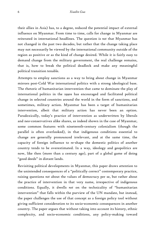their allies in Asia) has, to a degree, reduced the potential impact of external influence on Myanmar. From time to time, calls for change in Myanmar are reiterated in international headlines. The question is *not* that Myanmar has not changed in the past two decades, but rather that the change taking place may not necessarily be viewed by the international community outside of the region as positive or as the kind of change desired. While it is fairly easy to demand change from the military government, the real challenge remains, that is, how to break the political deadlock and make any meaningful political transition tenable.

Attempts to employ sanctions as a way to bring about change in Myanmar mirrors post-Cold War international politics with a strong ideological base. The rhetoric of humanitarian intervention that came to dominate the play of international politics in the 1990s has encouraged and facilitated political change in selected countries around the world in the form of sanctions, and sometimes, military action. Myanmar has been a target of humanitarian intervention, albeit that military action has never been an option. Paradoxically, today's practice of intervention as underwritten by liberals and neo-conservatives alike shares, as indeed shown in the case of Myanmar, some common features with nineteenth-century colonialism (though the parallel is often overlooked), in that indigenous conditions essential to change are generally pronounced irrelevant, and at the same time, the capacity of foreign influence to re-shape the domestic politics of another country tends to be overestimated. In a way, ideology and geopolitics are now, like then (more than a century ago), part of a global game of doing "good deeds" in distant lands.

Revisiting political developments in Myanmar, this paper draws attention to the unintended consequences of a "politically correct" contemporary practice, raising questions *not* about the values of democracy per se, but rather about the practice of intervention in that very name, irrespective of indigenous conditions. Equally, it dwells *not* on the technicality of "humanitarian intervention" that falls within the purview of the UN mandate, but instead, the paper challenges the use of that concept as a foreign policy tool without giving sufficient consideration to its socio-economic consequences in another country. The paper argues that without taking into account its history, ethnic complexity, and socio-economic conditions, any policy-making toward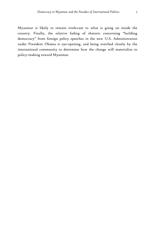Myanmar is likely to remain irrelevant to what is going on inside the country. Finally, the relative fading of rhetoric concerning "building democracy" from foreign policy speeches in the new U.S. Administration under President Obama is eye-opening, and being watched closely by the international community to determine how the change will materialize in

policy-making toward Myanmar.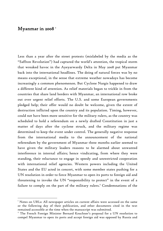### Myanmar in 2008<sup>1</sup>

 $\overline{a}$ 

Less than a year after the street protests (mislabeled by the media as the "Saffron Revolution") had captured the world's attention, the tropical storm that wreaked havoc in the Ayeyarwardy Delta in May 2008 put Myanmar back into the international headlines. The doing of natural forces was by no means exceptional, in the sense that extreme weather nowadays has become increasingly a common phenomenon. But Cyclone Nargis happened to draw a different kind of attention. As relief materials began to trickle in from the countries that share land borders with Myanmar, an international row broke out over urgent relief efforts. The U.S. and some European governments pledged help; their offer would no doubt be welcome, given the extent of destruction inflicted upon the country and its population. Timing, however, could not have been more sensitive for the military rulers, as the country was scheduled to hold a referendum on a newly drafted Constitution in just a matter of days after the cyclone struck, and the military regime was determined to keep the event under control. The generally negative response from the international media to the announcement of the national referendum by the government of Myanmar three months earlier seemed to have given the military leaders reasons to be alarmed about unwanted interference in internal affairs; hence vindicating, from where they were standing, their reluctance to engage in speedy and unrestricted cooperation with international relief agencies. Western powers including the United States and the EU acted in concert, with some member states pushing for a UN resolution in order to force Myanmar to open its ports to foreign aid and threatening to invoke the UN "responsibility to protect" in the event of a failure to comply on the part of the military rulers.<sup>2</sup> Condemnations of the

 $^{\mathrm{I}}$  Notes on URLs: All newspaper articles on current affairs were accessed on the same or the following day of their publication, and other documents cited in the text remained accessible at the time when the manuscript was submitted. 2

The French Foreign Minister Bernard Kouchner's proposal for a UN resolution to compel Myanmar to open its ports and accept foreign aid was opposed by Russia and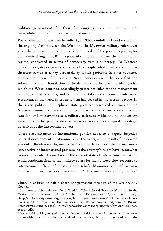military government for their foot-dragging over humanitarian aid, meanwhile, mounted in the international media.

Post-cyclone relief was clearly politicized.<sup>3</sup> The standoff reflected essentially the ongoing clash between the West and the Myanmar military rulers ever since the latter re-imposed their rule in the wake of the popular uprising for democratic change in 1988. The point of contention has been the nature of the regime, contrasted in terms of democracy versus autocracy. To Western governments, democracy is a matter of principle, ideals, and conviction; it therefore serves as a key yardstick, by which problems in other countries outside the sphere of Europe and North America are to be identified and solved. The moral foundation of the democratic principles and ideals, with which the West identifies, accordingly prescribes rules for the management of international relations, and is sometimes taken as a license to intervene. Ascendant in the 1990s, interventionism has peaked in the present decade. In the given political atmosphere, state practices perceived contrary to the Western democratic model may be subject to criticism, condemnation, sanction, and, in extreme cases, military action, notwithstanding that certain exceptions to this practice do exist in accordance with the specific strategic objectives of the intervening powers.

These circumstances of international politics have, to a degree, impeded political development in Myanmar over the years, as the result of protracted standoff. Simultaneously, events in Myanmar have taken their own course irrespective of international pressure, as the country's rulers have, somewhat ironically, availed themselves of the current state of international isolation. Amid condemnations of the military rulers for their alleged slow response to international offers of post-cyclone relief, Myanmar adopted a new Constitution in a national referendum.4 The event incidentally marked

-

China, in addition to half a dozen non-permanent members of the UN Security Council.

<sup>&</sup>lt;sup>3</sup> For more on this topic, see Derek Tonkin, "The Political Scene in Myanmar in the Wake of Cyclone Nargis," Burma Perspectives (June 24, 2008), <http://networkmyanmar.org/images//bp%2024%20june%202008.pdf>; see also Derek Tonkin, "The Impact of the Constitutional Referendum in Myanmar," Burma Perspectives (June 6, 2008), <http://networkmyanmar.org/images//bp%206%20june% 202008.pdf>.

 $^4$  It was held on May 10, 2008 as scheduled, with initial suspension in some of the worst cyclone-hit townships. At the end of the month, it was announced that the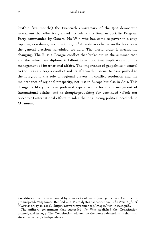(within five months) the twentieth anniversary of the 1988 democratic movement that effectively ended the rule of the Burman Socialist Program Party commanded by General Ne Win who had come to power in a coup toppling a civilian government in 1962. $^5$  A landmark change on the horizon is the general elections scheduled for 2010. The world order is meanwhile changing. The Russia-Georgia conflict that broke out in the summer 2008 and the subsequent diplomatic fallout have important implications for the management of international affairs. The importance of geopolitics – central to the Russia-Georgia conflict and its aftermath – seems to have pushed to the foreground the role of regional players in conflict resolution and the maintenance of regional prosperity, not just in Europe but also in Asia. This change is likely to have profound repercussions for the management of international affairs, and is thought-provoking for continued (albeit not concerted) international efforts to solve the long-lasting political deadlock in Myanmar.

-

Constitution had been approved by a majority of votes (over 90 per cent) and hence promulgated. "Myanmar Ratified and Promulgates Constitution," *The New Light of Myanmar* (May 30, 2008), <http://networkmyanmar.org/images//305-1newsn.pdf>.

<sup>&</sup>lt;sup>5</sup> The military government that succeeded Ne Win abolished the Constitution promulgated in 1974. The Constitution adopted by the latest referendum is the third since the country's independence.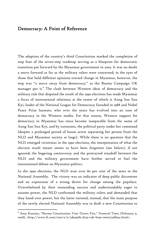#### Democracy: A Point of Reference

The adoption of the country's third Constitution marked the completion of step four of the seven-step roadmap serving as a blueprint for democratic transition put forward by the Myanmar government in 2003. It was no doubt a move forward as far as the military rulers were concerned; in the eyes of those that hold different opinions toward change in Myanmar, however, the step was "a move away from democracy," as the Burma Campaign UK manager put it. $^6$  The clash between Western ideas of democracy and the military rule that disputed the result of the 1990 elections has made Myanmar a focus of international relations; at the center of which is Aung San Suu Kyi, leader of the National League for Democracy founded in 1988 and Nobel Peace Prize laureate, who over the years has evolved into an icon of democracy in the Western media. For that reason, Western support for democracy in Myanmar has since become inseparable from the name of Aung San Suu Kyi, and by extension, the political party under her command (despite a prolonged period of house arrest separating her person from the NLD and Myanmar society at large). While there is no question that the NLD emerged victorious in the 1990 elections, the interpretation of what the election result meant seems to have been forgotten (see below), if not ignored; the lingering controversy and the protracted standoff between the NLD and the military government have further served to fuel the international debate on Myanmar politics.

In the 1990 elections, the NLD won over 80 per cent of the seats in the National Assembly. The victory was an indicator of deep public discontent and an expression of a strong desire for change among the populace. Overwhelmed by their resounding success and understandably eager to assume power, the NLD confronted the military rulers and demanded that they hand over power, but the latter insisted, instead, that the main purpose of the newly elected National Assembly was to draft a new Constitution to

<sup>6</sup> Amy Kazmin, "Burma Constitution Vote Draws Fire," *Financial Times* (February 9, 2008), <http://www.ft.com/cms/s/0/7de93582-d73a-11dc-b09c-0000779fd2ac.html>.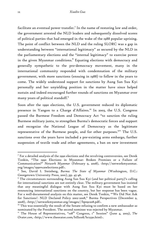facilitate an eventual power transfer.<sup>7</sup> In the name of restoring law and order, the government arrested the NLD leaders and subsequently dissolved scores of political parties that had emerged in the wake of the 1988 popular uprising. The point of conflict between the NLD and the ruling SLORC was a gap in understanding between "international legitimacy" as secured by the NLD in the parliamentary elections and the "internal legitimacy" to exercise power in the given Myanmar conditions. $^8$  Equating elections with democracy and generally sympathetic to the pro-democracy movement, many in the international community responded with condemnation of the military government, with more sanctions (ensuing in 1988) to follow in the years to come. The widely understood support for sanctions by Aung San Suu Kyi personally and her unyielding position in the matter have since helped sustain and indeed encouraged further rounds of sanctions on Myanmar over many years of political standoff.<sup>9</sup>

Soon after the 1990 elections, the U.S. government reduced its diplomatic presence in Yangon to a Charge d'Affaires.<sup>10</sup> In 2003, the U.S. Congress passed the Burmese Freedom and Democracy Act "to sanction the ruling Burmese military junta, to strengthen Burma's democratic forces and support and recognize the National League of Democracy as the legitimate representative of the Burmese people, and for other purposes."<sup>11</sup> The U.S. sanctions over the years have included a pre-existing arms embargo, further suspension of textile trade and other agreements, a ban on new investment

 $^7$  For a detailed analysis of the 1990 elections and the revolving controversies, see Derek Tonkin, "The 1990 Elections in Myanmar: Broken Promises or a Failure of Communication?" *Network Myanmar* (February 9, 2008), <http://networkmyanmar. org/images/1990%20elections.pdf>.

<sup>8</sup> See, David I. Steinberg, *Burma: The State of Myanmar* (Washington, D.C.: Georgetown University Press, 2001), pp. 45-46.

<sup>9</sup> The circumstances surrounding Aung San Suu Kyi (and her political party)'s calling for international sanctions are not entirely clear. The military government has insisted that any meaningful dialogue with Aung San Suu Kyi must be based on her renouncing international sanctions on the country, but her response has been vague. For a well-documented analysis on this matter, see Derek Tonkin, "'We Did Not Ask for Sanctions': NLD Declared Policy 2002-2008," Burma Perspectives (December 9, 2008), <http://networkmyanmar.org/images//bp091208.pdf>.

 $10$  This was essentially the result of the Senate refusing to confirm a new ambassador as nominated by the President. The second nominee was rejected by Myanmar.<br><sup>11</sup> The House of Representatives, "108<sup>th</sup> Congress, 1<sup>st</sup> Session" (June 4, 2003), *The* 

*Orator.com*, <http://www.theorator.com/bills108/hr2330.html>.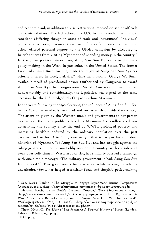and economic aid, in addition to visa restrictions imposed on senior officials and their relatives. The EU echoed the U.S. in both condemnations and sanctions (differing though in areas of trade and investment). Individual politicians, too, sought to make their own influence felt. Tony Blair, while in office, offered personal support to the UK-led campaign by discouraging British tourists from visiting Myanmar and spending money in the country.<sup>12</sup> In the given political atmosphere, Aung San Suu Kyi came to dominate policy-making in the West, in particular, in the United States. The former First Lady Laura Bush, for one, made the plight of Aung San Suu Kyi her priority interest in foreign affairs,<sup>13</sup> while her husband, George W. Bush, availed himself of presidential power (authorized by Congress) to award Aung San Suu Kyi the Congressional Medal, America's highest civilian honor; notably and coincidentally, the legislation was signed on the same occasion that the U.S. pledged relief to post-cyclone Myanmar.

In the years following the 1990 elections, the influence of Aung San Suu Kyi in the West has markedly ascended and surpassed that inside the country. The attention given by the Western media and governments to her person has reduced the many problems faced by Myanmar (i.e. endless civil war devastating the country since the end of WWII, prolonged poverty and increasing hardship endured by the ordinary population over the past decades, and so forth) to "only one story," that is, as put by a modern historian of Myanmar, "of Aung San Suu Kyi and her struggle against the ruling generals."14 The Burma Lobby outside the country, with considerable sway over politicians in Western countries, has similarly pursued a campaign with one simple message: "The military government is bad, Aung San Suu Kyi is good."15 This good versus bad narrative, while serving to sideline unorthodox views, has helped essentially focus and simplify policy-making

<sup>&</sup>lt;sup>12</sup> See, Derek Tonkin, "The Struggle to Engage Myanmar," Burma Perspectives (August 15, 2008), <http://networkmyanmar.org/images//bp%2015%20august.pdf>.

<sup>13</sup> Hannah Beech, "Laura Bush's Burmese Crusade," *Time* (September 5, 2007), <http://www.time.com/time/world/article/0,8599,1659170,00.html>; *CQ Transcripts Wire*, "First Lady Remarks on Cyclone in Burma, Says U.S. Will Increase Aid'" *Washingtonpost.com* (May 5, 2008), <http://www.washingtonpost.com/wp-dyn/ content/article/2008/05/05/AR2008050501928\_pf.html>.

<sup>&</sup>lt;sup>14</sup> Thant Myint-U, *The River of Lost Footsteps: A Personal History of Burma* (London: Faber and Faber, 2007), p. 332.

<sup>&</sup>lt;sup>15</sup> Ibid., p. 343.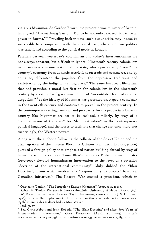vis-à-vis Myanmar. As Gordon Brown, the present prime minister of Britain, harangued: "I want Aung San Suu Kyi to be not only released, but to be in power in Burma."16 Traveling back in time, such a sound-bite may indeed be susceptible to a comparison with the colonial past, wherein Burma politics was sanctioned according to the political needs in London.

Parallels between yesterday's colonialism and today's interventionism are not always apparent, but difficult to ignore. Nineteenth-century colonialism in Burma saw a rationalization of the state, which purportedly "freed" the country's economy from dynastic restrictions on trade and commerce, and by doing so, "liberated" the populace from the oppressive traditions and exploitation by the indigenous ruling class.<sup>17</sup> The same European liberalism that had provided a moral justification for colonialism in the nineteenth century by creating "self-government" out of "an outdated form of oriental despotism,"18 as the history of Myanmar has presented us, staged a comeback in the twentieth century and continues to prevail in the present century. In the contemporary setting, freedom and prosperity for the people in a faraway country like Myanmar are set to be realized, similarly, by way of a "rationalization of the state" (or "democratization" in the contemporary political language), and the forces to facilitate that change are, once more, not surprisingly, the Western powers.

Along with the euphoria following the collapse of the Soviet Union and the disintegration of the Eastern Bloc, the Clinton administration (1992-2000) pursued a foreign policy that emphasized nation building abroad by way of humanitarian intervention. Tony Blair's tenure as British prime minister (1997-2007) elevated humanitarian intervention to the level of a so-called "doctrine of the international community" (duly dubbed the "Blair Doctrine"), from which evolved the "responsibility to protect" based on Canadian initiatives.19 The Kosovo War created a precedent, which in

 $16$  Quoted in Tonkin, "The Struggle to Engage Myanmar" (August 15, 2008).

<sup>&</sup>lt;sup>17</sup> Robert H. Taylor, *The State in Burma* (Honolulu: University of Hawaii Press, 1987), p. 66. By rationalization of the state, Taylor, borrowing a concept from J. S. Furniwall (1956), means the replacement of informal methods of rule with bureaucratic legal/rational rules as described by Max Weber.

 $18$  Ibid., p. 67.

<sup>&</sup>lt;sup>19</sup> See, Chris Abbott and John Sloboda, "The 'Blair Doctrine' and after: Five Years of Humanitarian Intervention," *Open Democracy* (April 22, 2004), <http:// www.opendemocracy.net/globalization-institutions\_government/article\_1857.jsp>.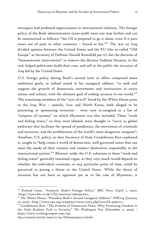retrospect had profound repercussions in international relations. The foreign policy of the Bush administration (2000-2008) went one step further and can be summarized as follows: "the US is prepared to go it alone, even if it puts noses out of joint in other countries – friend or foe."20 The war on Iraq divided opinion between the United States and the EU (the so-called "Old Europe" as Secretary of Defense Donald Rumsfeld put it), but the doctrine of "humanitarian intervention" to remove the dictator Saddam Hussein, in the end, helped politicians build their case, and sell to the public the invasion of Iraq led by the United States.

U.S. foreign policy during Bush's second term in office comprised more ambitious goals, as indeed stated in his inaugural address, "to seek and support the growth of democratic movements and institutions in every nation and culture, with the ultimate goal of ending tyranny in our world."<sup>21</sup> The remaining members of the "axis of evil" listed by the White House prior to the Iraq War – namely, Iran and North Korea, both alleged to be practicing or sponsoring terrorism – were now re-assigned to a list of "outposts of tyranny" on which Myanmar was also included. These "weak and failing states," as they were labeled, were thought to "serve as global pathways that facilitate the spread of pandemics, the movement of criminals and terrorists, and the proliferation of the world's most dangerous weapons"; therefore, U.S. policy, as then Secretary of State Condoleezza Rice explained it, sought to "help create a world of democratic, well-governed states that can meet the needs of their citizens and conduct themselves responsibly in the international system."22 Rhetoric aside, the U.S. solutions to these "weak and failing states" generally remained vague, as they very much would depend on whether the individual countries, at any particular point of time, could be perceived as posing a threat to the United States. While the threat of invasion has not been so apparent per se in the case of Myanmar, it

<sup>20</sup> Richard Lister, "Analysis: Bush's Foreign Policy," *BBC News* (April 7, 2001), <http://news.bbc.co.uk/2/hi/americas/1265039.stm>.

<sup>21</sup> The White House, "President Bush's Second Inaugural Address," *NPR.org* (January 20, 2005), <http://www.npr.org/templates/story/story.php?storyId=4460172>.<br><sup>22</sup> Condoleezza Rice, "The Promise of Democratic Peace: Why Promoting Freedom Is

the Only Realistic Path to Security," *The Washington Post* (December 11, 2005), < http://www.washingtonpost.com/wp-

dyn/content/article/2005/12/09/AR2005120901711.html>.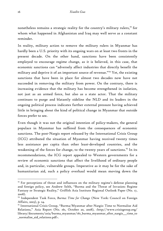nonetheless remains a strategic reality for the country's military rulers,<sup>23</sup> for whom what happened in Afghanistan and Iraq may well serve as a constant reminder.

In reality, military action to remove the military rulers in Myanmar has hardly been a U.S. priority with its ongoing wars on at least two fronts in the present decade. On the other hand, sanctions have been consistently employed to encourage regime change, as it is believed, in this case, that economic sanctions can "adversely affect industries that directly benefit the military and deprive it of an important source of revenue."<sup>24</sup> Yet, the existing sanctions that have been in place for almost two decades now have not succeeded in removing the military from power. On the contrary, there is increasing evidence that the military has become strengthened in isolation, not just as an armed force, but also as a state actor. That the military continues to purge and blatantly sideline the NLD and its leaders in the ongoing political process indicates further external pressure having achieved little in bringing about the kind of political change in Myanmar that outside forces prefer to see.

Even though it was not the original intention of policy-makers, the general populace in Myanmar has suffered from the consequences of economic sanctions. The post-Nargis report released by the International Crisis Group (ICG) attributed the situation of Myanmar having received twenty times less assistance per capita than other least-developed countries, and the weakening of the forces for change, to the twenty years of sanctions.<sup>25</sup> In its recommendations, the ICG report appealed to Western governments for a review of economic sanctions that affect the livelihood of ordinary people and, in particular, vulnerable groups. Imperative as it may be for the sake of humanitarian aid, such a policy overhaul would mean moving down the

 $23$  For perceptions of threat and influences on the military regime's defense planning and foreign policy, see Andrew Selth, "Burma and the Threat of Invasion: Regime Fantasy or Strategic Reality," Griffith Asia Institute Regional Outlook Paper (No. 17, 2008).

<sup>24</sup> Independent Task Force, *Burma: Time for Change* (New York: Council on Foreign Affairs, 2003), p. 24.

<sup>&</sup>lt;sup>25</sup> International Crisis Group, "Burma/Myanmar after Nargis: Time to Normalise Aid Relations," Asia Report (No. 161, October 20, 2008), <http://www.crisisgroup.org/ library/documents/asia/burma\_myanmar/161\_burma\_myanmar\_after\_nargis\_\_\_time\_to \_normalise\_aid\_relations.pdf>.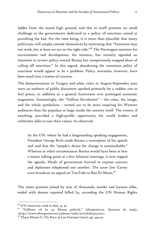ladder from the moral high ground, and this in itself presents no small challenge to the governments dedicated to a policy of sanctions aimed at punishing the bad. For the time being, it is more than plausible that many politicians will simply console themselves by reiterating that "Sanctions may not work, but at least we are on the right side."26 The Norwegian minister for environment and development, for instance, has recently signaled an intention to review policy toward Burma but conspicuously stopped short of calling off sanctions.<sup>27</sup> In this regard, abandoning the consistent policy of sanctions would appear to be a problem. Policy outcomes, however, have been much less a matter of concern.

The demonstrations in Yangon and other cities in August-September 2007 were an outburst of public discontent sparked primarily by a sudden rise in fuel prices, in addition to a general frustration over prolonged economic stagnation. Interestingly, the "Saffron Revolution" – the color, the image, and the whole symbolism – turned out to be more inspiring for Western audiences than the populace at large inside the country itself. The events, if anything, provided a high-profile opportunity for world leaders and celebrities alike to tout their values. As observed:

At the UN, where he had a longstanding speaking engagement, President George Bush made Burma a centrepiece of his speech and said that the "people's desire for change is unmistakable." Whereas in other circumstances Burma would have been at best a minor talking point at a few bilateral meetings, it now topped the agenda. Heads of government hurried to express concern and diplomats telephoned one another. The actor Jim Carrey even broadcast an appeal on YouTube to Ban Ki-Moon. $^{\mathrm{28}}$ 

The street protests joined by tens of thousands, monks and laymen alike, ended with dozens reported killed (31, according the UN Human Rights

<sup>&</sup>lt;sup>26</sup> ICG interview cited in ibid., p. 30.

<sup>27 &</sup>quot;Solheim vil ha ny Burma politick," *Aftenposten.no.* (January 18, 2009), <http://www.aftenposten.no/nyheter/uriks/article2873073.ece>.

<sup>28</sup> Thant Myint-U, *The River of Lost Footsteps* (2007), pp. 349-50.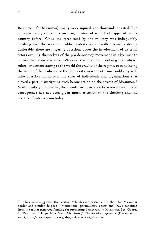Rapporteur for Myanmar), many more injured, and thousands arrested. The outcome hardly came as a surprise, in view of what had happened in the country before. While the force used by the military was indisputably crushing and the way the public protests were handled remains deeply deplorable, there are lingering questions about the involvement of external actors availing themselves of the pro-democracy movement in Myanmar to bolster their own existence. Whatever the intention – defying the military rulers, or demonstrating to the world the cruelty of the regime, or convincing the world of the resilience of the democratic movement – one could very well raise question marks over the roles of individuals and organizations that played a part in instigating such heroic action on the streets of Myanmar.<sup>29</sup> With ideology dominating the agenda, inconsistency between intention and consequence has not been given much attention in the thinking and the practice of intervention today.

<sup>&</sup>lt;sup>29</sup> It has been suggested that certain "clandestine sessions" on the Thai-Myanmar border and similar do-good "international paramilitary operations" have benefited from the rather generous funding for promoting democracy in Myanmar. See, George H. Wittman, "Happy New Year, Mr. Soros," *The American Spectator* (December 31, 2007), <http://www.spectator.org/dsp\_article.asp?art\_id=12489>.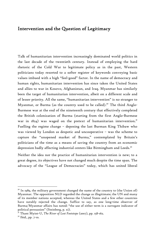#### Intervention and the Question of Legitimacy

Talk of humanitarian intervention increasingly dominated world politics in the last decade of the twentieth century. Instead of employing the hard rhetoric of the Cold War to legitimate policy as in the past, Western politicians today resorted to a softer register of keywords conveying basic values imbued with a high "feel-good" factor. In the name of democracy and human rights, humanitarian intervention has since taken the United States and allies to war in Kosovo, Afghanistan, and Iraq. Myanmar has similarly been the target of humanitarian intervention, albeit on a different scale and of lesser priority. All the same, "humanitarian intervention" is no stranger to Myanmar, or Burma (as the country used to be called).<sup>30</sup> The third Anglo-Burmese war at the end of the nineteenth century that effectively completed the British colonization of Burma (starting from the first Anglo-Burmese war in  $1824$ ) was waged on the pretext of humanitarian intervention.<sup>31</sup> Fuelling the regime change – deposing the last Burman King Thibaw who was viewed by London as despotic and uncooperative – was the scheme to capture the "unopened market of Burma," contemplated by Britain's politicians of the time as a means of saving the country from an economic depression badly affecting industrial centers like Birmingham and Leeds.<sup>32</sup>

Neither the idea nor the practice of humanitarian intervention is new; to a great degree, its objectives have not changed much despite the time span. The advocacy of the "League of Democracies" today, which has united liberal

 $30$  In 1989, the military government changed the name of the country to (the Union of) Myanmar. The opposition NLD regarded the change as illegitimate; the UN and many of its member nations accepted, whereas the United States and a few other countries have notably rejected the change. Suffice to say, as one long-time observer of Burma/Myanmar affairs has noted: "the use of either term is a surrogate indicator of political persuasion" (Steinberg, p. xi).

<sup>31</sup> Thant Myint-U, *The River of Lost Footsteps* (2007), pp. 158-162.

 $32$  Ibid., pp. 7-10.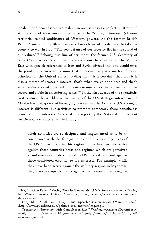idealism and neoconservative realism in one, serves as a perfect illustration.<sup>33</sup> At the core of interventionist practice is the "strategic interest" (of nonterritorial related ambitions) of Western powers. As the former British Prime Minister Tony Blair maintained in defense of his decision to take his country to war in Iraq: "The best defense of our security lies in the spread of our values."34 Echoing this line of argument, the former U.S. Secretary of State Condoleezza Rice, in an interview about the situation in the Middle East with specific references to Iran and Syria, advised that one would miss the point if one were to "assume that democracy is just a matter of moral principles in the United States," adding that: "It is certainly that. But it is also a matter of strategic interest; that's when we've done best and that's when we've created – helped to create circumstances that turned out to be secure and stable in an enduring sense."35 In the first decade of the twentiethfirst century, the world saw this matter of the U.S strategic interest in the Middle East being tackled by waging war on Iraq. In Asia, the U.S. strategic interest is different, but activities to promote democracy there nonetheless prioritize U.S. interests. As stated in a report by the National Endowment for Democracy on its South Asia program:

Their activities are so designed and implemented as to be in consonance with the foreign policy and strategic objectives of the US Government in this region. It has been mainly active against those countries/areas and regimes which are perceived as unfavourable or detrimental to US interests and not against those considered essential to US interests. For example, while they have been active against the military regime in Myanmar, they were not equally active against the former Suharto regime

<sup>&</sup>lt;sup>33</sup> See, Jonathan Rauch, "Voting Bloc: In Geneva, the U.N.'s Successor May be Testing Its Wings," *Reason Online*, March 22, 2004, <http://www.reason.com/news/ show/34607.html $\cdot$ .

<sup>34</sup> Tony Blair, "Full Text: Tony Blair's Speech," *Guardian.co.uk* (March 5, 2004), <http://www.guardian.co.uk/politics/2004/mar/05/iraq.iraq >.

<sup>35 [</sup>Transcript], "Interview with Condoleezza Rice," *Washingtonpost.com* (December 15, 2006), <http://www.washingtonpost.com/wp-dyn/content/article/2006/12/15/AR 2006121500529.html>.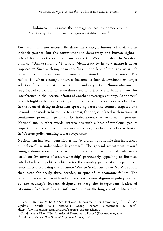in Indonesia or against the damage caused to democracy in Pakistan by the military-intelligence establishment.<sup>36</sup>

Europeans may not necessarily share the strategic interest of their trans-Atlantic partner, but the commitment to democracy and human rights – often talked of as the cardinal principles of the West – bolsters the Western alliance. "Unlike tyranny," it is said, "democracy by its very nature is never imposed."37 Such a claim, however, flies in the face of the way in which humanitarian intervention has been administered around the world. The reality is, when strategic interest becomes a key determinant in target selection for condemnation, sanction, or military action, "humanitarianism" may indeed constitute no more than a tactic to justify and build support for interference in the internal affairs of another sovereign country. At the peril of such highly selective targeting of humanitarian intervention, is a backlash in the form of rising nationalism spreading across the country targeted and beyond. The modern history of Myanmar, for one, is infused with nationalist sentiments prevalent prior to its independence as well as at present. Nationalism, in other words, intertwines with a host of problems; yet its impact on political development in the country has been largely overlooked in Western policy-making toward Myanmar.

Nationalism has been identified as the "overarching rationale that influenced all policies" in independent Myanmar.<sup>38</sup> The general resentment toward foreign domination in the economic sectors under colonial rule made socialism (in terms of state-ownership) particularly appealing to Burmese intellectuals and political elites after the country gained its independence, most illustrative being the Burmese Way to Socialism under Ne Win's rule that lasted for nearly three decades, in spite of its economic failure. The pursuit of socialism went hand-in-hand with a non-alignment policy favored by the country's leaders, designed to keep the independent Union of Myanmar free from foreign influence. During the long era of military rule,

<sup>&</sup>lt;sup>36</sup> See, B. Raman, "The USA's National Endowment for Democracy (NED): An Update," South Asia Analysis Group Papers (December 2, 2001), <http://www.southasiaanalysis.org/papers2/paper198.htm>.

<sup>37</sup> Condoleezza Rice, "The Promise of Democratic Peace" (December 11, 2005).

<sup>&</sup>lt;sup>38</sup> Steinberg, *Burma: The State of Myanmar* (2001), p. 16.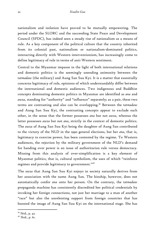nationalism and isolation have proved to be mutually empowering. The period under the SLORC and the succeeding State Peace and Development Council (SPDC), has indeed seen a steady rise of nationalism as a means of rule. As a key component of the political culture that the country inherited from its colonial past, nationalism or nationalism-dominated politics, interacting directly with Western interventionism, has increasingly come to define legitimacy of rule in terms of anti-Western sentiment.

Central to the Myanmar impasse in the light of both international relations and domestic politics is the seemingly unending animosity between the *tatmadaw* (the military) and Aung San Suu Kyi. It is a matter that essentially concerns legitimacy of rule, opinions of which understandably differ between the international and domestic audiences. Two indigenous and Buddhist concepts dominating domestic politics in Myanmar are identified as *ana* and *awza*, standing for "authority" and "influence" separately; as a pair, these two terms are contrasting and also can be overlapping.39 Between the *tatmadaw* and Aung San Suu Kyi, the contrasting concepts appear to exclude each other, in the sense that the former possesses *ana* but not *awza*, whereas the latter possesses *awza* but not *ana*, strictly in the context of domestic politics. The *awza* of Aung San Suu Kyi being the daughter of Aung San contributed to the victory of the NLD in the 1990 general elections, but her *ana*, that is, legitimacy to exercise power, has been contested by the regime. To Western audiences, the rejection by the military government of the NLD's demand for handing over power is an issue of authoritarian rule versus democracy. Missing from this analysis of over-simplification is a key element of Myanmar politics, that is, cultural symbolism, the uses of which "reinforce regimes and provide legitimacy to government."40

The *awza* that Aung San Suu Kyi enjoys in society naturally derives from her association with the name Aung San. The kinship, however, does not automatically confer *ana* onto her person. On the contrary, the *tatmadaw* propaganda machine has consistently discredited her political credentials by invoking her foreign connections, not just her marriage to a man of another "race" but also the unrelenting support from foreign countries that has boosted the image of Aung San Suu Kyi on the international stage. She has

<sup>39</sup> Ibid., p. 42.

 $4^{\circ}$  Ibid., p. 61.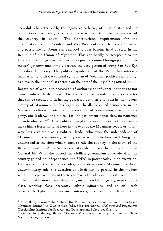been duly characterized by the regime as "a lackey of imperialists," and the accusation consequently puts her concern as a politician for the interests of the country in doubt.41 The Constitutional requirements for the qualifications of the President and Vice-Presidents seem to have eliminated any possibility for Aung San Suu Kyi to ever become head of state in the Republic of the Union of Myanmar. This can hardly be acceptable to the U.S. and the EU (whose member states pursue a united foreign policy in this matter) governments, simply because the very person of Aung San Suu Kyi embodies democracy. The political symbolism of the West thus interacts inadvertently with the cultural symbolism of Myanmar politics, reinforcing, as a result, the nationalist rhetoric on the part of the unyielding *tatmadaw*.

Regardless of who is in possession of authority or influence, neither *ana* nor *awza* is inherently democratic. General Aung San is indisputably a character that can be credited with having possessed both *ana* and *azwa* in the modern history of Myanmar. But his legacy can hardly be called democratic in the Western tradition, in view of his conviction of "one nation, one state, one party, one leader…" and his call for "no parliament opposition, no nonsense of individualism."42 This political insight, however, does not necessarily make him a lesser national hero in the eyes of the Myanmar people or in any way less creditable as a political leader who won the independence of Myanmar. On the contrary, it only serves to indicate how well Aung San understood at the time what it took to rule the country in the event of the British departure. Aung San was a nationalist, so was his comrade-in-arms General Ne Win who ousted the civilian government a decade after the country gained its independence; the SPDC in power today is no exception. For five out of the last six decades, post-independence Myanmar has been under military rule, the duration of which has no parallel in the modern world. This particularity of the Myanmar political system has its roots in the anti-colonialist movements that amalgamated a wide range of groups (middle class, working class, peasantry, ethnic minorities, and so on), each persistently fighting for its own interests, a situation which ultimately

<sup>&</sup>lt;sup>41</sup> Yin-Hlaing Kyaw, "The State of the Pro-Democracy Movement in Authoritarian Myanmar/Burma," in Xiaolin Guo (ed.), *Myanmar/Burma: Challenges and Perspectives* (Stockholm: Institute for Security and Development Policy, 2008), p. 85.

<sup>42</sup> Quoted in Steinberg, *Burma: The State of Myanmar* (2001), p. 279, and in Thant Myint-U (2007), p. 229.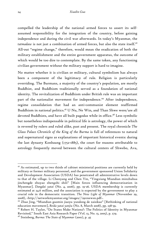compelled the leadership of the national armed forces to assert its selfassumed responsibility for the integration of the country, before gaining independence and during the civil war afterwards. In today's Myanmar, the *tatmadaw* is not just a combination of armed forces, but also the state itself.<sup>43</sup> All-out "regime change," therefore, would mean the eradication of both the military establishment and the entire government apparatus, the outcome of which would be too dire to contemplate. By the same token, any functioning civilian government without the military support is hard to imagine.

No matter whether it is civilian or military, cultural symbolism has always been a component of the legitimacy of rule. Religion is particularly overriding. The Burmans, a majority of the country's population, are mostly Buddhist, and Buddhism traditionally served as a foundation of national identity. The revitalization of Buddhism under British rule was an important part of the nationalist movement for independence.<sup>44</sup> After independence, regime consolidation that had an anti-communist element reaffirmed Buddhism in national politics.45 U Nu, Ne Win, and Than Shwe were/are all devoted Buddhists, and have all built pagodas while in office.<sup>46</sup> Less symbolic but nonetheless indispensable in political life is astrology, the power of which is revered by rulers and ruled alike, past and present. The royal chronicle *The Glass Palace Chronicle of the King of the Burma* is full of references to natural and supernatural signs as explanations of important historical events: during the last dynasty Konbaung (1752-1885), the court for reasons attributable to astrology frequently moved between the cultural centers of Shwebo, Ava,

<sup>&</sup>lt;sup>43</sup> As estimated, up to two thirds of cabinet ministerial positions are currently held by military or former military personnel, and the government sponsored Union Solidarity and Development Association (USDA) has penetrated all administrative levels down to that of the village. Li Chenyang and Chen Yin, "Yingxiang Miandian minzhuhua jinchengde zhuyao zhengzhi shili" [Main forces influencing democratization in Myanmar]. *Dangdai yatai* (No. 4, 2006), pp. 19-26. USDA membership is currently estimated at 24.6 million, and the association is expected by the government to play a crucial role in the democratic transition. *The New Light of Myanmar* (November 29, 2008), <http://networkmyanmar.org/images//2911newsn.pdf>.

<sup>44</sup> Zhao Jing, "Miandian guomin jiaoyu yundong de zaisikao" [Rethinking of national education movement], *Beida yatai yanjiu* (No. 8, March 2008), pp. 238-39.

<sup>45</sup> Robert H. Taylor, "Do States Make Nations?: The Politics of Identity in Myanmar Revisited," South East Asia Research Paper (Vol. 13, No. 13, 2005), p. 279.

<sup>46</sup> Steinberg, *Burma: The State of Myanmar* (2001), p. 45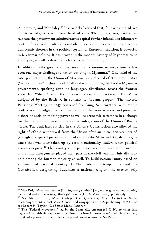Amarapura, and Mandalay.<sup>47</sup> It is widely believed that, following the advice of his astrologist, the current head of state Than Shwe, too, decided to relocate the government administrative capital further inland, 400 kilometers north of Yangon. Cultural symbolism as such, invariably obscured by democratic rhetoric in the political system of European tradition, is powerful in Myanmar politics. It has proven in the modern history of Myanmar to be a unifying as well as destructive force to nation building.

In addition to the greed and grievance of an economic nature, ethnicity has been one major challenge to nation building in Myanmar.<sup>48</sup> One third of the total population in the Union of Myanmar is composed of ethnic minorities ("national races" as they are officially referred to in English by the Myanmar government), speaking over 100 languages, distributed across the frontier areas (or "Shan States, the Frontier Areas and Backward Tracts" as designated by the British), in contrast to "Burma proper." The historic Panglong Meeting in 1947 convened by Aung San together with ethnic leaders acknowledged the local autonomy of the frontier areas, and promised a share of decision-making power as well as economic assistance in exchange for their support to make the territorial integration of the Union of Burma viable. The deal, later ratified in the Union's Constitution, also allowed the right of ethnic withdrawal from the Union after an initial ten-year period (though the special provision applied only to the Shan and Kayah states), a cause that was later taken up by certain nationality leaders when political grievances grew.49 The country's independence was embraced amid turmoil, and ethnic insurgencies played their part in the civil war that initially took hold among the Burman majority as well. To build national unity based on an imagined national identity, U Nu made an attempt to amend the Constitution designating Buddhism a national religion: the motion duly

<sup>47</sup> Mao Rui, "Miandian qiandu jiqi yingxiang chulun" [Myanmar government moving its capital and explanations], *Beida yatai yanjiu* (No. 8, March 2008), pp. 168-183.

<sup>48</sup> See Martin Smith, *State of Strife: The Dynamics of Ethnic Conflict in Burma* (Washington D.C.: East-West Center and Singapore: ISEAS publishing, 2007); also see Robert H. Taylor, "Do States Make Nations?"

<sup>49</sup> The "Federal Movement" led by the Shan elite encouraged U Nu to enter into negotiations with the representatives from the frontier areas in 1962, which effectively provided a pretext for the military coup and power seizure by Ne Win.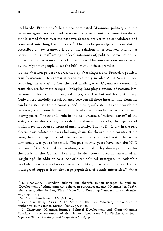backfired.50 Ethnic strife has since dominated Myanmar politics, and the ceasefire agreements reached between the government and some two dozen ethnic armed forces over the past two decades are yet to be consolidated and translated into long-lasting peace. $5^T$  The newly promulgated Constitution prescribes a new framework of ethnic relations in a renewed attempt at nation building, reaffirming the local autonomy of, political participation by, and economic assistance to, the frontier areas. The 2010 elections are expected by the Myanmar people to see the fulfillment of these promises.

To the Western powers (represented by Washington and Brussels), political transformation in Myanmar is taken to simply involve Aung San Suu Kyi replacing the *tatmadaw*. Yet, the real challenges to Myanmar's democratic transition are far more complex, bringing into play elements of nationalism, personal influence, Buddhism, astrology, and last but not least, ethnicity. Only a very carefully struck balance between all these intertwining elements can bring stability to the country; and in turn, only stability can provide the necessary conditions for economic development conducive to a sustained, lasting peace. The colonial rule in the past created a "rationalization" of the state, and in due course, generated imbalances in society, the legacies of which have not been confronted until recently. The NLD victory in the 1990 elections articulated an overwhelming desire for change in the country at the time, but the capability of the political party imbued with the name democracy was yet to be tested. The past twenty years have seen the NLD pull out of the National Convention, assembled to lay down principles for the draft of the Constitution, and in due course become embroiled in infighting.<sup>52</sup> In addition to a lack of clear political strategies, its leadership has failed to secure, and is deemed to be unlikely to secure in the near future, widespread support from the large population of ethnic minorities.<sup>53</sup> What

<sup>50</sup> Li Chenyang, "Miandian dulihou lijie zhengfu minzu zhengce de yanbian" [Development of ethnic minority policies in post-independence Myanmar] in *Yazhou minzu luntan*, edited by Fang Tie and Xiao Xian (Kunming: Yunnan daxue chubanshe, 2003), pp. 127-140.

<sup>51</sup> See Martin Smith, *State of Strife* (2007).

<sup>52</sup> See Yin-Hlaing Kyaw, "The State of the Pro-Democracy Movement in Authoritarian Myanmar/Burma" (2008), pp. 91-102.

<sup>53</sup> Li Chenyang, Myanmar/Burma's Political Development and China-Myanmar Relations in the Aftermath of the 'Saffron Revolution,'" in Xiaolin Guo (ed.), *Myanmar/Burma: Challenges and Perspectives* (2008), p. 115.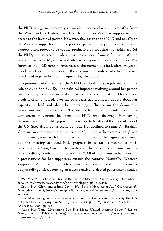the NLD can garner presently is moral support and overall sympathy from the West, and its leaders have been banking on Western support to gain access to the levers of power. However, the lesson to the NLD and equally to its Western supporters in this political game is the paradox that foreign support often proves to be counterproductive by reducing the legitimacy (of the NLD, in this case) to rule *within* the country, if one is familiar with the modern history of Myanmar and what is going on in the country today. The future of the NLD remains uncertain at the moment, as its leaders are yet to decide whether they will contest the elections – or indeed whether they will be allowed to participate in the up-coming elections.<sup>54</sup>

The present predicament that the NLD finds itself in is largely related to the role of Aung San Suu Kyi; the political impasse revolving around her person inadvertently becomes an obstacle to national reconciliation. Her silence, albeit if often enforced, over the past years has prompted doubts about her capacity to lead and about her remaining influence on the democratic movement within the country.<sup>55</sup> To a degree, her contentious relevance to the democratic movement has sent the NLD into disarray. Her strong personality and unyielding position have clearly frustrated the good offices of the UN Special Envoy, as Aung San Suu Kyi declined to grant Dr. Ibrahim Gambari an audience on his sixth trip to Myanmar in the summer 2008; $^{56}$  she did, however, meet with him on his following trip in the beginning of 2009, but the meeting achieved little progress in as far as reconciliation is concerned, as Aung San Suu Kyi reiterated the same preconditions for any possible dialogue with the military rulers.<sup>57</sup> All of this seems to have created a predicament for her supporters outside the country. Naturally, Western support for Aung San Suu Kyi has strategic concerns, in addition to elements of symbolic politics, counting on a democratically elected government headed

<sup>54</sup> Wai Moe, "NLD Leaders Discuss Role in 2010 Election," *The Irrawaddy*, December 2, 2008, <http://www.irrawaddy.org/print\_article.php?art\_id=14734>.

<sup>55</sup> Cathy Scott-Clark and Adrian Levy, "Not Such a Hero After All," *Guardian.co.uk*, November 11, 2008, http://www.guardian.co.uk/world/2008/nov/11/burma-aung-sansuu-kyi.

 $56$  The Myanmar government newspaper recounted the repeated efforts by the UN delegates to reach Aung San Suu Kyi. *The New Light of Myanmar* Vol. XVI, No. 128 (August 24, 2008), pp. 6-8.

<sup>57</sup> Aung Hla Tun, "Myanmar's Suu Kyi Meets United Nations Envoy," *Reuters* Newyahoo.com (February 2, 2009), <http://news.yahoo.com/s/nm/20090202/wl\_nm/ us\_myanmar\_un/print>.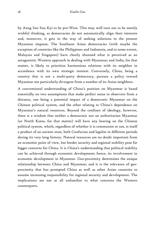by Aung San Suu Kyi to be pro-West. This may well turn out to be merely wishful thinking, as democracies do not automatically align their interests and, moreover, it gets in the way of seeking solutions to the present Myanmar impasse. The Southeast Asian democracies (with maybe the exception of countries like the Philippines and Indonesia, and to some extent, Malaysia and Singapore) have clearly shunned what is perceived as an antagonistic Western approach in dealing with Myanmar; and India, for that matter, is likely to prioritize harmonious relations with its neighbor in accordance with its own strategic interest. Conversely, China, being a country that is not a multi-party democracy, pursues a policy toward Myanmar not particularly divergent from a number of its Asian neighbors.

A conventional understanding of China's position on Myanmar is based essentially on two assumptions that make perfect sense to observers from a distance, one being a potential impact of a democratic Myanmar on the Chinese political system, and the other relating to China's dependence on Myanmar's natural resources. Beyond the confines of ideology, however, there is a wisdom that neither a democratic nor an authoritarian Myanmar (or North Korea, for that matter) will have any bearing on the Chinese political system, which, regardless of whether it is communist or not, is itself a product of an ancient state, both Confucian and legalist in different periods during its very long history. Natural resources are no doubt important from an economic point of view, but border security and regional stability pose far bigger concerns for China. It is China's understanding that political stability can be achieved through economic development; hence, its involvement in economic development in Myanmar. Geo-proximity determines the unique relationship between China and Myanmar; and it is the relevance of geoproximity that has prompted China as well as other Asian countries to assume increasing responsibility for regional security and development. The implications are not at all unfamiliar to what concerns the Western counterparts.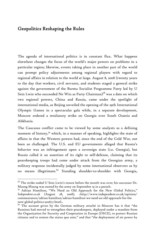### Geopolitics Reshaping the Rules

The agenda of international politics is in constant flux. What happens elsewhere changes the focus of the world's major powers on problems in a particular region; likewise, events taking place in another part of the world can prompt policy adjustments among regional players with regard to regional affairs in relation to the world at large. August 8, 2008 (twenty years to the day that workers, civil servants, and students staged a general strike against the government of the Burma Socialist Programme Party led by U Sein Lwin who succeeded Ne Win as Party Chairman)<sup>58</sup> was a date on which two regional powers, China and Russia, came under the spotlight of international media, as Beijing unveiled the opening of the 29th International Olympic Games in a spectacular gala while, in a separate development, Moscow ordered a retaliatory strike on Georgia over South Ossetia and Abkhazia.

The Caucasus conflict came to be viewed by some analysts as a defining moment of history,<sup>59</sup> which, in a manner of speaking, highlights the state of affairs in that the Western powers had, since the end of the Cold War, not been so challenged. The U.S. and EU governments alleged that Russia's behavior was an infringement upon a sovereign state (i.e. Georgia), but Russia called it an assertion of its right to self-defense, claiming that its peacekeeping troops had come under attack from the Georgian army, a military response incidentally judged by some international observers as by no means illegitimate.<sup>60</sup> Standing shoulder-to-shoulder with Georgia,

 $58$  The strike ended U Sein Lwin's tenure before the month was over; his successor Dr. Maung Maung was ousted by the army on September 19 in a putsch.

<sup>59</sup> Adrian Hamilton, "We Need an Old Approach for the New Global Politics," *Independent.co.uk* (August 28, 2008), <http://www.independent.co.uk/opinion/ commentators/adrian-hamilton/adrian-hamilton-we-need-an-old-approach-for-the new-global-politics-910677.html>.

 $60$  The account given by the German military attaché in Moscow has it that "the Russians had moved to strengthen their peacekeepers, deployed under a mandate from the Organization for Security and Cooperation in Europe (OSCE), to protect Russian citizens and to restore the status quo ante," and that "the deployment of air power by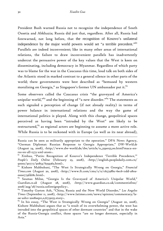President Bush warned Russia not to recognize the independence of South Ossetia and Abkhazia; Russia did just that, regardless. After all, Russia had forewarned, not long before, that the recognition of Kosovo's unilateral independence by the major world powers would set "a terrible precedent."61 Parallels are indeed inconvenient; like in many other areas of international relations, the failure to draw inconvenient parallels has inadvertently undercut the persuasive power of the key values that the West is keen on disseminating, including democracy in Myanmar. Regardless of which party was to blame for the war in the Caucasus this time, loud talk on both sides of the Atlantic stood in marked contrast to a general silence in other parts of the world; there governments were best described as "bemused by western moralising on Georgia," as Singapore's former UN ambassador put it.<sup>62</sup>

Some observers called the Caucasus crisis "the graveyard of America's unipolar world,"<sup>63</sup> and the beginning of "a new disorder."<sup>64</sup> The statements as such signaled a perception of change (if not already reality) in terms of power balance in international relations and the way the game of international politics is played. Along with this change, geopolitical spaces perceived as having been "intruded by the West" are likely to be restructured,<sup>65</sup> as regional actors are beginning to assume a more active role. While Russia is to be reckoned with in Europe (as well as its near abroad),

-

Russia can be seen as militarily appropriate to the operation." DPA News Agency, "German Diplomat: Russian Response to Georgia Appropriate," *DW-World.de* (August 24, 2008), <http://www.dw-world.de/dw/article/0,,3590155,00.html?maca=enrss-en-all-1573-xml-atom>.

<sup>&</sup>lt;sup>61</sup> Xinhua, "Putin: Recognition of Kosovo's Independence 'Terrible Precedence," *People's Daily Online* (February 23, 2008), <http://english.peopledaily.com.cn/ 90001/90777/90853/6359363.html>.

<sup>62</sup> Kishore Mahbubani, "The West Is Strategically Wrong on Georgia," *Financial Times.com* (August 20, 2008), <http://www.ft.com/cms/s/0/c65798bc-6ec6-11dd-a80a-0000779fd18c.html>.

<sup>&</sup>lt;sup>63</sup> Seumas Milne, "Georgia Is the Graveyard of America's Unipolar World," *Guardian.co.uk* (August 28, 2008), <http://www.guardian.co.uk/commentisfree/ 2008/aug/28/russia.usforeignpolicy>.

<sup>64</sup> Timothy Garton Ash, "China, Russia and the New World Disorder," *Los Angeles Times* (September 11, 2008), <http://www.latimes.com/news/opinion/commentary/laoe-ash11-2008sep11,0,6733055.story>.

<sup>&</sup>lt;sup>65</sup> In his essay, "The West is Strategically Wrong on Georgia" (August 20, 2008), Kishore Mahbubani argues that as "a result of its overwhelming power, the west has intruded into the geopolitical spaces of other dormant countries" and that in the wake of the Russia-Georgia conflict, those spaces "are no longer dormant, especially in Asia."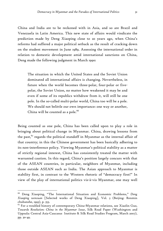China and India are to be reckoned with in Asia, and so are Brazil and Venezuela in Latin America. This new state of affairs would vindicate the prediction made by Deng Xiaoping close to 20 years ago, when China's reforms had suffered a major political setback as the result of cracking down on the student movement in June 1989. Assessing the international order in relation to domestic development amid international sanctions on China, Deng made the following judgment in March 1990:

The situation in which the United States and the Soviet Union dominated all international affairs is changing. Nevertheless, in future when the world becomes three-polar, four-polar or fivepolar, the Soviet Union, no matter how weakened it may be and even if some of its republics withdraw from it, will still be one pole. In the so-called multi-polar world, China too will be a pole. We should not belittle our own importance: one way or another, China will be counted as a pole. $^{66}$ 

Being counted as one pole, China has been called upon to play a role in bringing about political change in Myanmar. China, drawing lessons from the past,  $67$  regards the political standoff in Myanmar as the internal affair of that country; in this the Chinese government has been basically adhering to its non-interference policy. Viewing Myanmar's political stability as a matter of strictly regional interest, China has consistently treated the matter with warranted caution. In this regard, China's position largely concurs with that of the ASEAN countries, in particular, neighbors of Myanmar, including those outside ASEAN such as India. The Asian approach to Myanmar is stability first, in contrast to the Western rhetoric of "democracy first!" In view of the play of international politics vis-à-vis Myanmar, one may well

<sup>66</sup> Deng Xiaoping, "The International Situation and Economic Problems," *Deng Xiaoping wenxuan* [Selected works of Deng Xiaoping], Vol. 3 (Beijing: Renmin chubanshe, 1993), p. 353.

 $67$  For a troubled history of contemporary China-Myanmar relations, see Xiaolin Guo, *Towards Resolution: China in the Myanmar Issue*, Silk Road Paper (Washington and Uppsala: Central Asia-Caucasus Institute & Silk Road Studies Program, March 2007), pp. 30-49.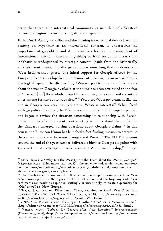argue that there is no international community as such, but only Western powers and regional actors pursuing different agendas.

If the Russia-Georgia conflict and the ensuing international debate have any bearing on Myanmar as an international concern, it underscores the importance of geopolitics and its increasing relevance to management of international relations. Russia's unyielding position on South Ossetia and Abkhazia is underpinned by strategic concern (aside from the historically entangled sentiments). Equally, geopolitics is something that the democratic West itself cannot ignore. The initial support for Georgia offered by the European leaders was hijacked, in a manner of speaking, by an overwhelming ideological agenda; the dismissal by Western politicians of credible reports about the war in Georgia available at the time has been attributed to the fear of "discredit[ing] their whole project for spreading democracy and recruiting allies among former Soviet republics."68 Yet, a pro-West government like the one in Georgia can very well jeopardize Western interests.<sup>69</sup> When faced with geopolitical realities, the West – predominantly "Old Europe" – paused, and began to review the situation concerning its relationship with Russia. Three months after the event, contradicting accounts about the conflict in the Caucasus emerged, raising questions about Georgia's claims.<sup>70</sup> In due course, the European Union has launched a fact-finding mission to determine the causes of the war between Georgia and Russia.<sup>71</sup> The NATO summit toward the end of the year further delivered a blow to Georgia (together with Ukraine) in its attempt to seek speedy NATO membership, $72$  though

<sup>&</sup>lt;sup>68</sup> Mary Dejevsky, "Why Did the West Ignore the Truth about the War in Georgia?" *Independent.co.uk* (November 12, 2008), <http://www.independent.co.uk/opinion/ commentators/mary-dejevsky/mary-dejevsky-why-did-the-west-ignore-the-truthabout-the-war-in-georgia-1012234.html>.

 $^{69}$  The row between Russia and the Ukraine over gas supplies ensuing the New Year 2009 shows again how the legacy of the Soviet Union and the lingering Cold War sentiments can easily be exploited, wittingly or unwittingly, to create a quandary for "Old" as well as "New" Europe.

<sup>&</sup>lt;sup>70</sup> See, C. J. Chivers and Ellen Barry, "Georgia Claims on Russia War Called into Question," *The New York Times* (November 7, 2008), <http://www.nytimes.com/ 2008/11/07/world/europe/07georgia.html?\_r=1&hp&oref=slogin>.

<sup>71</sup> CNN, "EU Probes Causes of Georgian Conflict," *CNN.com* (December 2, 2008), <http://edition.cnn.com/2008/WORLD/europe/12/02/georgia.eu.war/index.html>.

<sup>72</sup> Vanessa Mock, "Setback for Georgia after Nato Rejection," *Independent.co.uk* (December 3, 2008), <http://www.independent.co.uk/news/world/europe/setback-forgeorgia-after-nato-rejection-1049064.html>.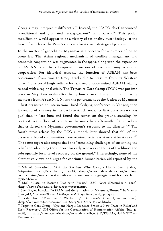Georgia may interpret it differently.<sup>73</sup> Instead, the NATO chief announced "conditional and graduated re-engagement" with Russia.<sup>74</sup> This policy modification would appear to be a victory of rationality over ideology, at the heart of which are the West's concerns for its own strategic objectives.

In the matter of geopolitics, Myanmar is a concern for a number of Asian countries. The Asian regional mechanism of conflict management and economic cooperation was augmented in the 1990s, along with the expansion of ASEAN, and the subsequent formation of 10+1 and 10+3 economic cooperation. For historical reasons, the function of ASEAN has been constrained, from time to time, largely due to pressure from its Western allies.75 The post-Nargis relief effort showed a more united ASEAN willing to deal with a regional crisis. The Tripartite Core Group (TCG) was put into place in May, two weeks after the cyclone struck. The group – comprising members from ASEAN, UN, and the government of the Union of Myanmar – first organized an international fund pledging conference in Yangon; then it conducted a survey in the cyclone-struck areas. Its first press release was published in late June and found the scenes on the ground standing "in contrast to the flood of reports in the immediate aftermath of the cyclone that criticized the Myanmar government's response to the disaster."76 The fourth press release by the TCG a month later showed that "all of the disaster-affected communities have received relief assistance at least once."<sup>77</sup> The same report also emphasized the "remaining challenges of sustaining the relief and advancing the support for early recovery in terms of livelihood and subsequently local level recovery on the ground." Interestingly, none of the alternative views and urges for continued humanitarian aid reported by the

<sup>73</sup> Mikheil Saakashvili, "Ask the Russians Why Georgia Hasn't Been Stable," *Independent.co.uk* (December 7, 2008), <http://www.independent.co.uk/opinion/ commentators/mikheil-saakashvili-ask-the-russians-why-georgia-hasnt-been-stable-1055540.html>.

<sup>74</sup> BBC, "Nato 'to Resume Ties with Russia,'" *BBC News* (December 3, 2008), <http://news.bbc.co.uk/2/hi/europe/7762021.stm>.

<sup>75</sup> See, Jürgen Haacke, "ASEAN and the Situation in Myanmar/Burma," in Xiaolin Guo (ed.), *Myanmar/Burma: Challenges and Perspectives* (2008), pp. 131-158.

<sup>76</sup> Leslie Koh, "Myanmar 8 Weeks on," *The Straits Times* (June 29, 2008), <http://www.straitstimes.com/Free/Story/STIStory\_252806.html>.

<sup>&</sup>lt;sup>77</sup> Tripatite Core Group, "Cyclone Nargis Response Enters a New Phase in Relief and Early Recovery," UN Office for the Coordination of Humanitarian Affairs (July 30, 2008), <http://www.reliefweb.int/rw/rwb.nsf/db900SID/EGUA-7H7LMG?Open Document>.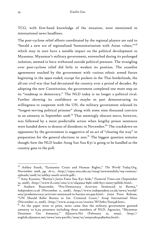TCG, with first-hand knowledge of the situation, were mentioned in international news headlines.

The post-cyclone relief efforts coordinated by the regional players are said to "herald a new era of regionalized 'humanitarianism with Asian values," $7^{8}$ which may in turn have a notable impact on the political development in Myanmar. Myanmar's military government, entrenched during its prolonged isolation, seemed to have withstood outside political pressure. The wrangling over post-cyclone relief did little to weaken its position. The ceasefire agreements reached by the government with various ethnic armed forces beginning in the 1990s ended, except for pockets in the Thai borderlands, the all-out civil war that had devastated the country over a period of decades. By adopting the new Constitution, the government completed one more step on its "roadmap to democracy." The NLD today is no longer a political rival. Further showing its confidence or maybe in part demonstrating its willingness to cooperate with the UN, the military government released its "longest-serving political prisoner" along with some nine thousand convicts in an amnesty in September 2008.79 That seemingly obscure move, however, was followed by a more predictable action when lengthy prison sentences were handed down to dozens of dissidents in November.<sup>80</sup> The crackdown on opponents by the government is suggestive of an act of "clearing the way" in preparation for the general elections in 2010.<sup>81</sup> The biggest question remains though: how the NLD leader Aung San Suu Kyi is going to be handled as the country goes to the poll.

<sup>78</sup> Ashley South, "Economic Crisis and Human Rights," *The World Today.Org*, November 2008, pp. 16-17, <http://rspas.anu.edu.au/rmap/newmandala/wp-content/ uploads/2008/10/ashley-south-article.pdf>.

<sup>79</sup> Amy Kazmin, "Burma's Junta Frees Suu Kyi Aide," *Financial Times.com* (September 23, 2008), <http://www.ft.com/cms/s/0/1d45e91a-8981-11dd-8371-0000779fd18c.html>.

Andrew Buncombe, "Pro-Democracy Activists Sentenced in Burma," *Independent.co.uk* (November 11, 2008), <http://www.independent.co.uk/news/world/ asia/prodemocracy-activists-sentenced-in-burma-1011490.html>. Joint Press Release, "UN Should Refer Burma to Int. Criminal Court," *Scoop International News* (November 21, 2008), <http://www.scoop.co.nz/stories/WO0811/S00348.htm>.

 $81$  As the paper went to print, news came that the military government granted amnesty to 6,313 prisoners including three members of NLD. Agencies, "Myanmar Detainees Get Amnesty," *AlJazeera.Net* (February 22, 2009), <http:// english.aljazeera.net/news/asia-pacific/2009/02/200922262419891603.html>.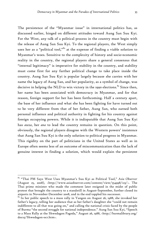The persistence of the "Myanmar issue" in international politics has, as discussed earlier, hinged on different attitudes toward Aung San Suu Kyi. For the West, any talk of a political process in the country must begin with the release of Aung San Suu Kyi. To the regional players, the West simply uses her as a "political tool,"<sup>82</sup> at the expense of finding a viable solution to Myanmar's woes. Sensitive to the complexity of history and socio-economic reality in the country, the regional players share a general consensus that "internal legitimacy" is imperative for stability in the country, and stability must come first for any further political change to take place inside the country. Aung San Suu Kyi is popular largely because she carries with her name the legacy of Aung San, and her popularity, as a symbol of change, was decisive in helping the NLD to win victory in the 1990 elections.<sup>83</sup> Since then, her name has been associated with democracy in Myanmar, and for that reason, foreign support for her has been forthcoming. Half a century apart, the base of her influence and what she has been fighting for have turned out to be very different from that of her father, Aung San, who earned both personal influence and political authority in fighting for his country against foreign occupying powers. While it is indisputable that Aung San Suu Kyi has *awza*, her *ana* to lead the country remains in question. On this point, obviously, the regional players disagree with the Western powers' insistence that Aung San Suu Kyi is the only solution to political progress in Myanmar. This rigidity on the part of politicians in the United States as well as in Europe often seems less of an outcome of miscommunication than the lack of genuine interest in finding a solution, which would explain the persistent

<sup>82 &</sup>quot;Thai PM Says West Uses Myanmar's Suu Kyi as Political Tool," *Asia Observer* (August 25, 2008), <http://www.asiaobserver.com/content/view/554998/123/>. The Thai prime minister who made the comment later resigned in the midst of public protest that brought the country to a standstill in August-September, further closed its airports in November-December 2008, and in the end toppled his successor.

 $83$  In her public speech to a mass rally in Yangon on August 26, 1988, she invoked her father's legacy, telling her audience that as her father's daughter she "could not remain indifferent to all that was going on," and calling the national crisis faced by the people of Burma "the second struggle for national independence." Aung San Suu Kyi, "Speech to a Mass Rally at the Shwedagon Pagoda," August 26, 1988, <http://burmalibrary.org/ docs3/Shwedagon-ocr.htm>.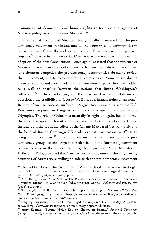prominence of democracy and human rights rhetoric on the agenda of Western policy-making vis-à-vis Myanmar. 84

The protracted isolation of Myanmar has gradually taken a toll on the prodemocracy movement inside and outside the country; exile communities in particular have found themselves increasingly frustrated over the political impasse.<sup>85</sup> The series of events in May 2008 – post-cyclone relief and the adoption of the new Constitution – once again indicated that the pressure of Western governments had only limited effect on the military government. The situation compelled the pro-democracy communities abroad to review their movement, and to explore alternative strategies. Some raised doubts about sanctions, and concluded that confrontational approaches had "added to a wall of hostility between the nations that limits Washington's influence."86 Others, reflecting on the war in Iraq and Afghanistan, questioned the credibility of George W. Bush as a human rights champion. $^{87}$ Reports of such sentiments surfaced in August 2008, coinciding with the U.S. President's stopover in Bangkok en route to the opening of the Beijing Olympics. The role of China was naturally brought up again, but this time, the tone was quite different and there was no talk of sanctioning China; instead, both the founding editor of the Chiang Mai-based *The Irrawaddy* and the head of Burma Campaign UK spoke against provocation in efforts to bring China on board.<sup>88</sup> In a comment on an action taken by some prodemocracy groups to challenge the credentials of the Burmese government representatives in the United Nations, the opposition Prime Minister in Exile, Sein Win, conceded that "for various reasons, none of the neighboring countries of Burma were willing to side with the pro-democracy movement

 $84$  The position of the United States toward Myanmar is said to have "remained rigid, because U.S. national interests in regard to Myanmar have been marginal." Steinberg, *Burma: The State of Myanmar* (2001), p. 241.

 $85$  Yin-Hlaing Kyaw, "The State of the Pro-Democracy Movement in Authoritarian Myanmar/Burma," in Xiaolin Guo (ed.), *Myanmar/Burma: Challenges and Perspectives* (2008), pp. 67-105.

<sup>86</sup> Seth Mydans, "Exiles Try to Rekindle Hopes for Change in Myanmar," *The New York Times* (August 5, 2008), <http://www.nytimes.com/2008/08/06/world/asia/ 06myanmar.html?partner=rssnyt&emc=rs>.

<sup>87</sup> Pokpong Lawansiri, "Bush as Human Rights Champion?" *The Irrawaddy* (August 14, 2008), <http://www.irrawaddy.org/opinion\_story.php?art\_id=13855>.

<sup>88</sup> Amy Kazmin, "Beijing Holds Key to Change in Burma," *Financial Times.com* (August 7, 2008), <http://www.ft.com/cms/s/0/c84e1866-649f-11dd-af61-0000779fd18c. html>.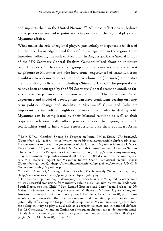and supports them in the United Nations."<sup>89</sup> All these reflections on failures and expectations seemed to point at the importance of the regional players in Myanmar affairs.

What makes the role of regional players particularly indispensable is, first of all, the local knowledge crucial for conflict management in the region. In an interview following his visit to Myanmar in August 2008, the Special Envoy of the UN Secretary-General Ibrahim Gambari talked about an initiative from Indonesia "to have a small group of some countries who are closest neighbours to Myanmar and who have some [experience] of transition from a military to a democratic regime, and to whom the [Burmese] authorities are more likely to listen to," including China and India.<sup>90</sup> The proposal said to have been encouraged by the UN Secretary-General seems to entail, so far, a concrete step toward a customized solution. The Southeast Asian experience and model of development can have significant bearing on longterm political change and stability in Myanmar.<sup>91</sup> China and India are important, as immediate neighbors; however, their roles in dealing with Myanmar can be complicated by their bilateral relations as well as their respective relations with other powers outside the region, and such relationships tend to have wider repercussions. Like their Southeast Asian

<sup>89</sup> Lalit K Jha, "Gambari Should Be Tougher on Junta: PM in Exile," *The Irrawaddy* (September 26, 2008), <http://www.irrawaddymedia.com/article.php?art\_id=14327>. For the attempt to unseat the government of the Union of Myanmar from the UN, see Derek Tonkin, "Myanmar and the UN Credentials Committee: Soap Opera or Serious Challenge?" Burma Perspectives (September 11, 2008), <http://networkmyanmar.org/ images/bp%2011%20september%202008.pdf>. For the UN decision on the matter, see, AP, "UN Rejects Request for Myanmar Junta's Seat," *International Herald Tribune* (September 26, 2008), <http://www.iht.com/articles/ap/2008/09/26/news/UN-UN-General-Assembly-Myanmar.php>.

<sup>90</sup> Ibrahim Gambari, "Taking a Deep Breath," *The Irrawaddy* (September 22, 2008), <http://www.irrawaddy.org/print\_article.php?art\_id=14293>.

 $91$  The "seven-step road map to democracy" is characterized as "inspired by other more or less successful transitions from military rule to a civilian administration (Indonesia, South Korea, or even Chile)." See, Renaud Egreteau and Larry Jagen, *Back to the Old Habits: Isolationism or the Self-Preservation of Burma's Military Regime* (Bangkok: Institute of Research on Contemporary South East Asia, December 2008), p. 31. Some scholars have suggested that the Indonesian model of state power Golkar could potentially offer an option for political development in Myanmar, allowing, as it does, the ruling military to play a dual role as a corporative state and in national defense. See, Li Chenyang, "Miandian Xinjunren zhengquan changqi cunzai de yuanyin tanxi" [Analysis of the new Myanmar military government and its sustainability], *Beida yatai yanjiu* (No. 8, March 2008), pp. 145-167.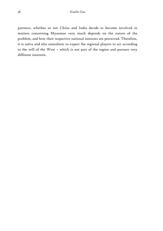partners, whether or not China and India decide to become involved in matters concerning Myanmar very much depends on the nature of the problem, and how their respective national interests are perceived. Therefore, it is naïve and also unrealistic to expect the regional players to act according to the will of the West – which is not part of the region and pursues very different interests.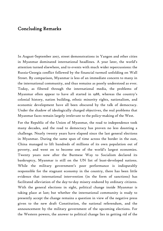### Concluding Remarks

In August-September 2007, street demonstrations in Yangon and other cities in Myanmar dominated international headlines. A year later, the world's attention turned elsewhere, and to events with much wider repercussions: the Russia-Georgia conflict followed by the financial turmoil unfolding on Wall Street. By comparison, Myanmar is less of an immediate concern to many in the international community, and thus remains as poorly understood as ever. Today, as filtered through the international media, the problems of Myanmar often appear to have all started in 1988, whereas the country's colonial history, nation building, ethnic minority rights, nationalism, and economic development have all been obscured by the talk of democracy. Under the shadow of ideologically charged objectives, the real problems that Myanmar faces remain largely irrelevant to the policy-making of the West.

For the Republic of the Union of Myanmar, the road to independence took many decades, and the road to democracy has proven no less daunting a challenge. Nearly twenty years have elapsed since the last general elections in Myanmar. During the same span of time across the border in the east, China managed to lift hundreds of millions of its own population out of poverty, and went on to become one of the world's largest economies. Twenty years now after the Burmese Way to Socialism declared its bankruptcy, Myanmar is still on the UN list of least-developed nations. While the military government's poor performance is indisputably responsible for the stagnant economy in the country, there has been little evidence that international intervention (in the form of sanctions) has facilitated alleviation of the day-to-day misery endured by ordinary citizens. With the general elections in sight, political change inside Myanmar is taking place at last; but whether the international community is ready to presently accept the change remains a question in view of the negative press given to the new draft Constitution, the national referendum, and the announcement by the military government of the upcoming elections. For the Western powers, the answer to political change lies in getting rid of the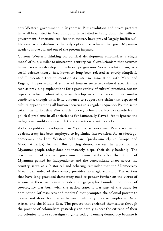anti-Western government in Myanmar. But revolution and street protests have all been tried in Myanmar, and have failed to bring down the military government. Sanctions, too, for that matter, have proved largely ineffectual. National reconciliation is the only option. To achieve that goal, Myanmar needs to move on, and out of the present impasse.

Current Western thinking on political development emphasizes a single model of rule, similar to nineteenth-century social evolutionism that assumes human societies develop in uni-linear progression. Social evolutionism, as a social science theory, has, however, long been rejected as overly simplistic and Eurocentric (not to mention its intrinsic association with Marx and Engels). In post-colonial studies of human societies, cultural specifics are seen as providing explanations for a great variety of cultural practices, certain types of which, admittedly, may develop in similar ways under similar conditions, though with little evidence to support the claim that aspects of culture appear among *all* human societies in a regular sequence. By the same token, the notion that Western democracy offers an effective remedy for *all* political problems in *all* societies is fundamentally flawed, for it ignores the indigenous conditions in which the state interacts with society.

As far as political development in Myanmar is concerned, Western rhetoric of democracy has been employed to legitimize intervention. As an ideology, democracy has kept Western politicians (predominantly in Europe and North America) focused. But putting democracy on the table for the Myanmar people today does not instantly dispel their daily hardship. The brief period of civilian government immediately after the Union of Myanmar gained its independence and the concomitant chaos across the country serve as a historical and sobering reminder that the "Democracy Now!" demanded of the country provides no magic solution. The nations that have long practiced democracy need to ponder further on the virtue of advancing their own cause outside their geographic bounds. The notion of sovereignty was born with the nation state; it was part of the quest for domination (of resources and markets) that prompted the colonial powers to devise and draw boundaries between culturally diverse peoples in Asia, Africa, and the Middle East. The powers that enriched themselves through the practice of colonialism yesterday can hardly expect the citizens of their old colonies to take sovereignty lightly today. Touting democracy because it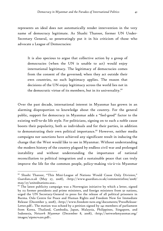represents an ideal does not automatically render intervention in the very name of democracy legitimate. As Shashi Tharoor, former UN Under-Secretary General, so penetratingly put it in his criticism of those who advocate a League of Democracies:

It is also specious to argue that collective action by a group of democracies (when the UN is unable to act) would enjoy international legitimacy. The legitimacy of democracies comes from the consent of the governed; when they act outside their own countries, no such legitimacy applies. The reason that decisions of the UN enjoy legitimacy across the world lies not in the democratic virtue of its members, but in its universality. $92$ 

Over the past decade, international interest in Myanmar has grown in an alarming disproportion to knowledge about the country. For the general public, support for democracy in Myanmar adds a "feel-good" factor to the existing well-to-do life style. For politicians, signing on to such a noble cause boosts their popularity, both as individuals and for their parties, in addition to demonstrating their own political importance.<sup>93</sup> However, neither media campaigns nor sanctions have achieved any significant result in inducing the change that the West would like to see in Myanmar. Without understanding the modern history of the country plagued by endless civil war and prolonged instability and without understanding the importance of national reconciliation to political integration and a sustainable peace that can truly improve the life for the common people, policy-making vis-à-vis Myanmar

<sup>92</sup> Shashi Tharoor, "This Mini-League of Nations Would Cause Only Division," *Guardian.co.uk* (May 27, 2008), <http://www.guardian.co.uk/commentisfree/2008/ may/27/unitednations.usa>.

 $93$  The latest publicity campaign was a Norwegian initiative by which a letter, signed by 112 former presidents and prime ministers, and foreign ministers from 50 nations, urged the UN Secretary-General to press for the release of all political prisoners in Burma. Oslo Centre for Peace and Human Rights and Freedom Now for Immediate Release (December 3, 2008), <http://www.freedom-now.org/documents/PressRelease-Letter.pdf>. The motion was echoed by a petition signed by 241 members of parliament from Korea, Thailand, Cambodia, Japan, Malaysia, Philippines, Singapore, and Indonesia, *Network Myanmar* (December 8, 2008), <http://networkmyanmar.org/ images/aipmc%201.pdf>.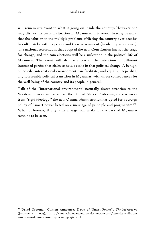will remain irrelevant to what is going on inside the country. However one may dislike the current situation in Myanmar, it is worth bearing in mind that the solution to the multiple problems afflicting the country over decades lies ultimately with its people and their government (headed by whomever). The national referendum that adopted the new Constitution has set the stage for change, and the 2010 elections will be a milestone in the political life of Myanmar. The event will also be a test of the intentions of different interested parties that claim to hold a stake in that political change. A benign, or hostile, international environment can facilitate, and equally, jeopardize, any foreseeable political transition in Myanmar, with direct consequences for the well-being of the country and its people in general.

Talk of the "international environment" naturally draws attention to the Western powers, in particular, the United States. Professing a move away from "rigid ideology," the new Obama administration has opted for a foreign policy of "smart power based on a marriage of principle and pragmatism."<sup>94</sup> What difference, if any, this change will make in the case of Myanmar remains to be seen.

<sup>94</sup> David Usborne, "Clinton Announces Dawn of 'Smart Power'", *The Independent* (January 14, 2009), <http://www.independent.co.uk/news/world/americas/clintonannounces-dawn-of-smart-power-1334256.html>.